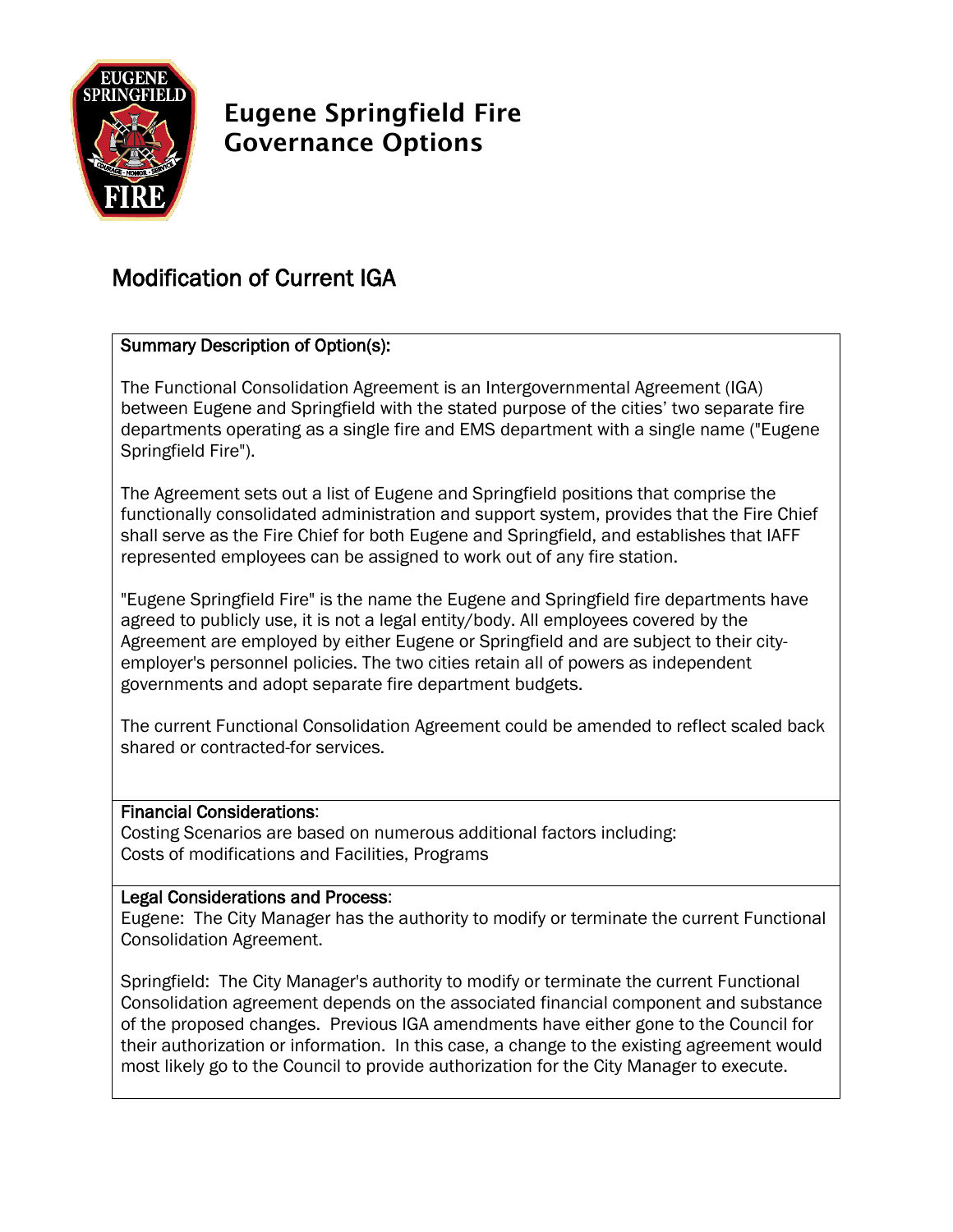

# Eugene Springfield Fire Governance Options

## Modification of Current IGA

## Summary Description of Option(s):

The Functional Consolidation Agreement is an Intergovernmental Agreement (IGA) between Eugene and Springfield with the stated purpose of the cities' two separate fire departments operating as a single fire and EMS department with a single name ("Eugene Springfield Fire").

The Agreement sets out a list of Eugene and Springfield positions that comprise the functionally consolidated administration and support system, provides that the Fire Chief shall serve as the Fire Chief for both Eugene and Springfield, and establishes that IAFF represented employees can be assigned to work out of any fire station.

"Eugene Springfield Fire" is the name the Eugene and Springfield fire departments have agreed to publicly use, it is not a legal entity/body. All employees covered by the Agreement are employed by either Eugene or Springfield and are subject to their cityemployer's personnel policies. The two cities retain all of powers as independent governments and adopt separate fire department budgets.

The current Functional Consolidation Agreement could be amended to reflect scaled back shared or contracted-for services.

## Financial Considerations:

Costing Scenarios are based on numerous additional factors including: Costs of modifications and Facilities, Programs

## Legal Considerations and Process:

Eugene: The City Manager has the authority to modify or terminate the current Functional Consolidation Agreement.

Springfield: The City Manager's authority to modify or terminate the current Functional Consolidation agreement depends on the associated financial component and substance of the proposed changes. Previous IGA amendments have either gone to the Council for their authorization or information. In this case, a change to the existing agreement would most likely go to the Council to provide authorization for the City Manager to execute.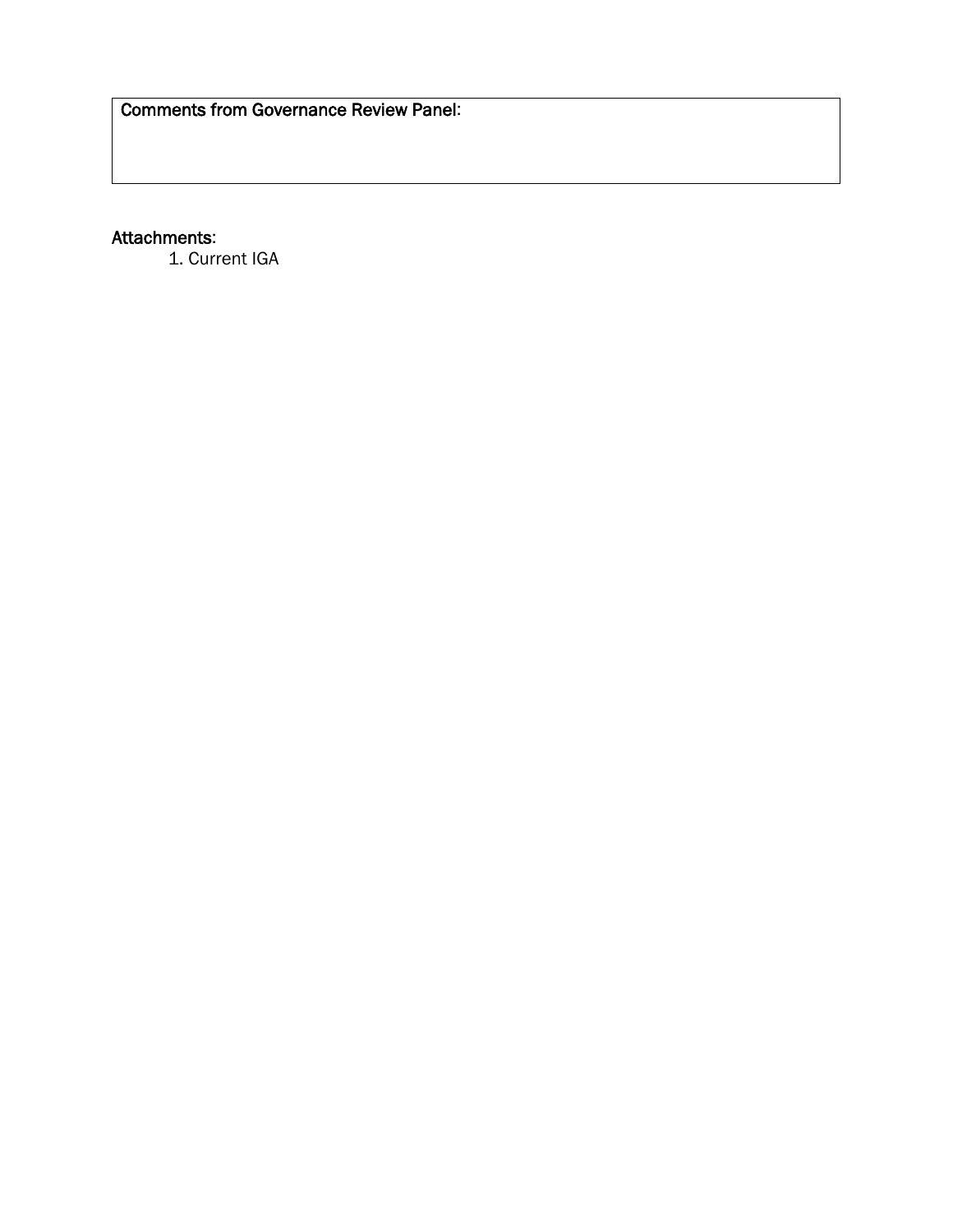## Attachments:

1. Current IGA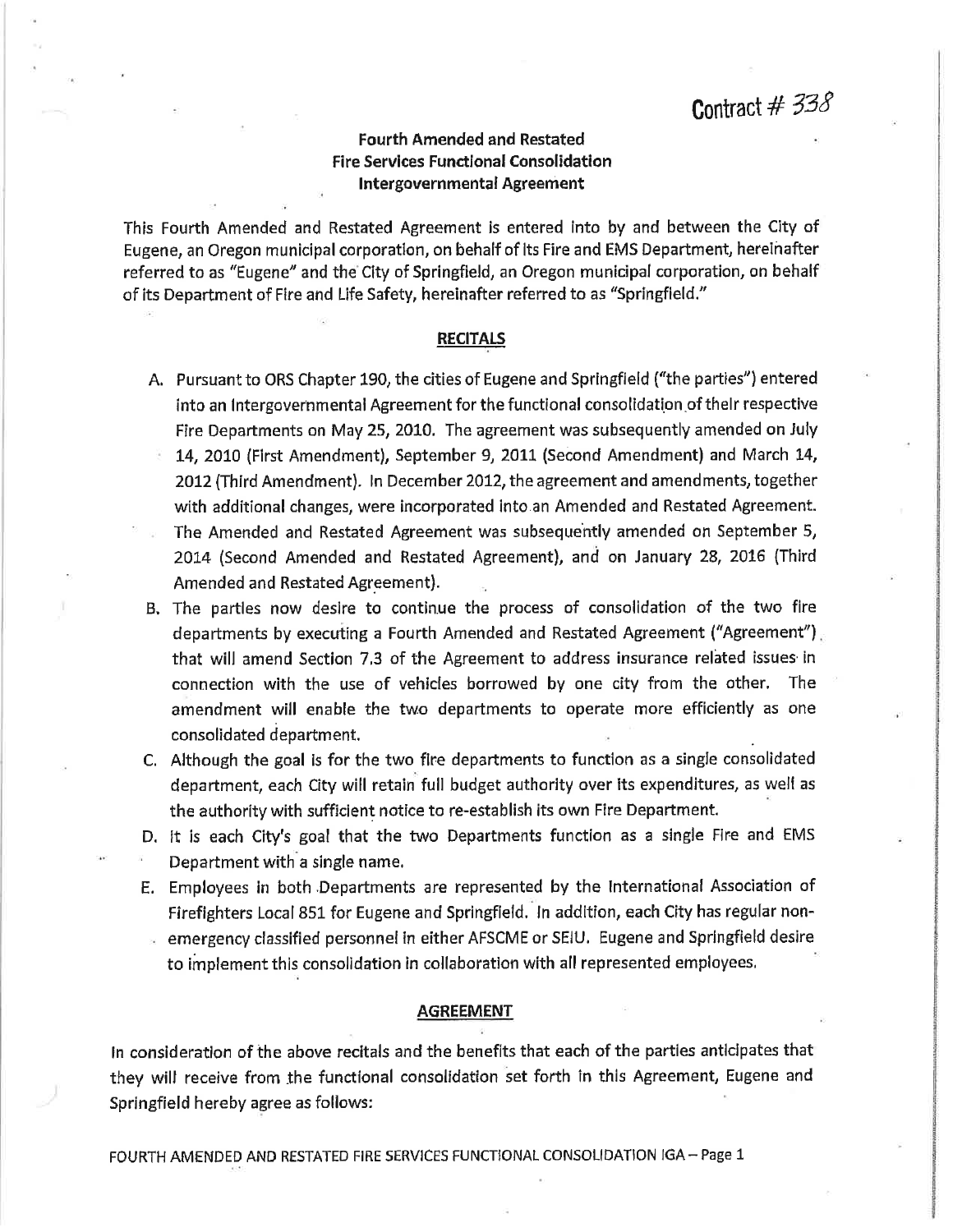## **Fourth Amended and Restated Fire Services Functional Consolidation Intergovernmental Agreement**

This Fourth Amended and Restated Agreement is entered into by and between the City of Eugene, an Oregon municipal corporation, on behalf of its Fire and EMS Department, hereinafter referred to as "Eugene" and the City of Springfield, an Oregon municipal corporation, on behalf of its Department of Fire and Life Safety, hereinafter referred to as "Springfield."

#### **RECITALS**

- A. Pursuant to ORS Chapter 190, the cities of Eugene and Springfield ("the parties") entered into an Intergovernmental Agreement for the functional consolidation of their respective Fire Departments on May 25, 2010. The agreement was subsequently amended on July 14, 2010 (First Amendment), September 9, 2011 (Second Amendment) and March 14,
- 2012 (Third Amendment). In December 2012, the agreement and amendments, together with additional changes, were incorporated into an Amended and Restated Agreement.
- The Amended and Restated Agreement was subsequently amended on September 5, 2014 (Second Amended and Restated Agreement), and on January 28, 2016 (Third Amended and Restated Agreement).
- B. The partles now desire to continue the process of consolidation of the two fire departments by executing a Fourth Amended and Restated Agreement ("Agreement") that will amend Section 7.3 of the Agreement to address insurance related issues in connection with the use of vehicles borrowed by one city from the other. The amendment will enable the two departments to operate more efficiently as one consolidated department.
- C. Although the goal is for the two fire departments to function as a single consolidated department, each City will retain full budget authority over its expenditures, as well as the authority with sufficient notice to re-establish its own Fire Department.
- D. It is each City's goal that the two Departments function as a single Fire and EMS Department with a single name.
- E. Employees in both Departments are represented by the International Association of Firefighters Local 851 for Eugene and Springfield. In addition, each City has regular non-
- emergency classified personnel in either AFSCME or SEIU. Eugene and Springfield desire to implement this consolidation in collaboration with all represented employees.

#### **AGREEMENT**

In consideration of the above recitals and the benefits that each of the parties anticipates that they will receive from the functional consolidation set forth in this Agreement, Eugene and Springfield hereby agree as follows: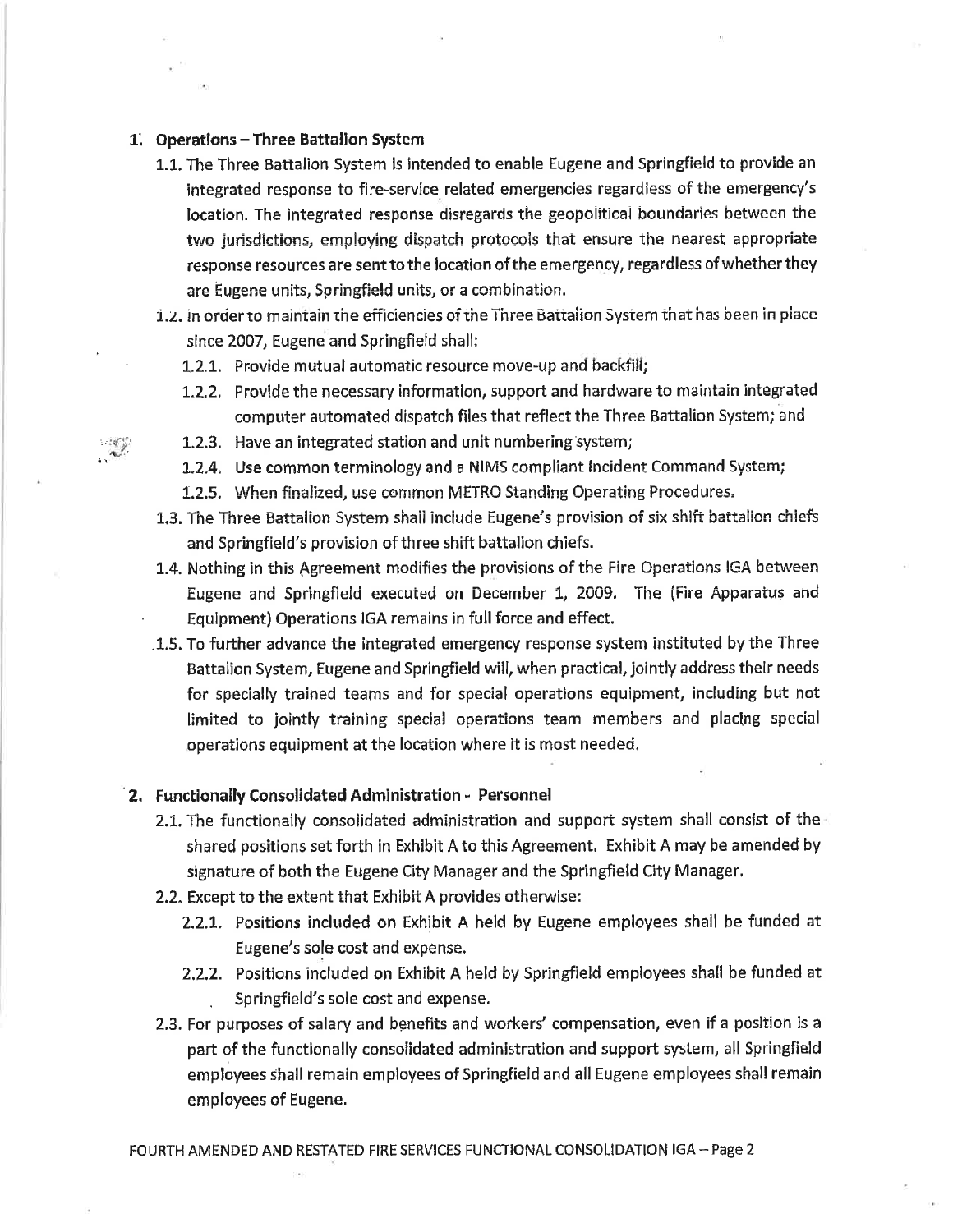#### 1. Operations - Three Battalion System

- 1.1. The Three Battalion System Is intended to enable Eugene and Springfield to provide an integrated response to fire-service related emergencies regardless of the emergency's location. The integrated response disregards the geopolitical boundaries between the two jurisdictions, employing dispatch protocols that ensure the nearest appropriate response resources are sent to the location of the emergency, regardless of whether they are Eugene units, Springfield units, or a combination.
- 1.2. In order to maintain the efficiencies of the Three Battalion System that has been in place since 2007, Eugene and Springfield shall:
	- 1.2.1. Provide mutual automatic resource move-up and backfill;
	- 1.2.2. Provide the necessary information, support and hardware to maintain integrated computer automated dispatch files that reflect the Three Battalion System; and
	- 1.2.3. Have an integrated station and unit numbering system;
	- 1.2.4. Use common terminology and a NIMS compliant incident Command System;
	- 1.2.5. When finalized, use common METRO Standing Operating Procedures.
- 1.3. The Three Battalion System shall include Eugene's provision of six shift battalion chiefs and Springfield's provision of three shift battalion chiefs.
- 1.4. Nothing in this Agreement modifies the provisions of the Fire Operations IGA between Eugene and Springfield executed on December 1, 2009. The (Fire Apparatus and Equipment) Operations IGA remains in full force and effect.
- .1.5. To further advance the integrated emergency response system instituted by the Three Battalion System, Eugene and Springfield will, when practical, jointly address their needs for specially trained teams and for special operations equipment, including but not limited to jointly training special operations team members and placing special operations equipment at the location where it is most needed.

#### 2. Functionally Consolidated Administration - Personnel

- 2.1. The functionally consolidated administration and support system shall consist of the shared positions set forth in Exhibit A to this Agreement. Exhibit A may be amended by signature of both the Eugene City Manager and the Springfield City Manager.
- 2.2. Except to the extent that Exhibit A provides otherwise:
	- 2.2.1. Positions included on Exhibit A held by Eugene employees shall be funded at Eugene's sole cost and expense.
	- 2.2.2. Positions included on Exhibit A held by Springfield employees shall be funded at Springfield's sole cost and expense.
- 2.3. For purposes of salary and benefits and workers' compensation, even if a position is a part of the functionally consolidated administration and support system, all Springfield employees shall remain employees of Springfield and all Eugene employees shall remain employees of Eugene.

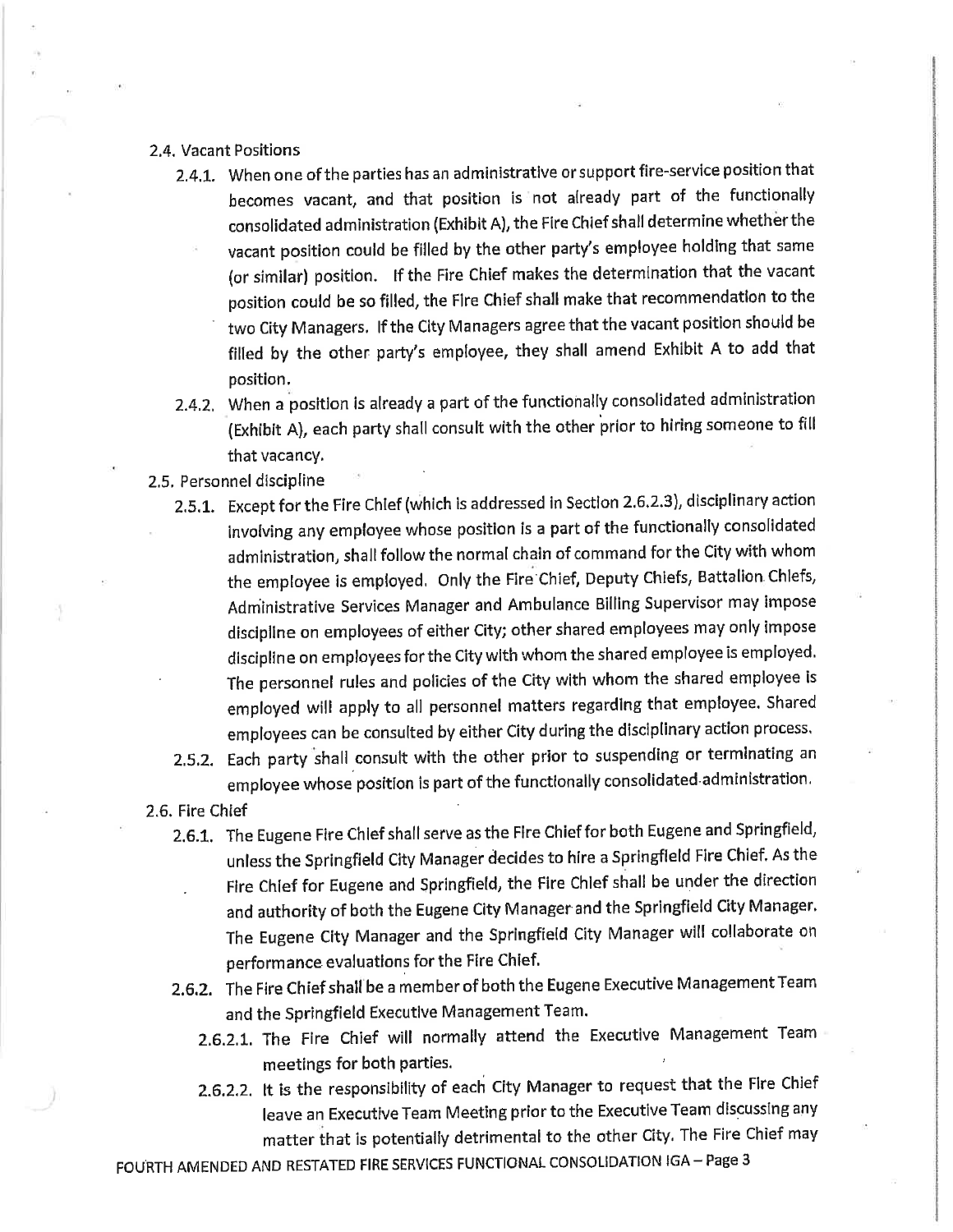#### 2.4. Vacant Positions

- 2.4.1. When one of the parties has an administrative or support fire-service position that becomes vacant, and that position is not already part of the functionally consolidated administration (Exhibit A), the Fire Chief shall determine whether the vacant position could be filled by the other party's employee holding that same (or similar) position. If the Fire Chief makes the determination that the vacant position could be so filled, the Fire Chief shall make that recommendation to the two City Managers. If the City Managers agree that the vacant position should be filled by the other party's employee, they shall amend Exhibit A to add that position.
- 2.4.2. When a position is already a part of the functionally consolidated administration (Exhibit A), each party shall consult with the other prior to hiring someone to fill that vacancy.

#### 2.5. Personnel discipline

- 2.5.1. Except for the Fire Chief (which is addressed in Section 2.6.2.3), disciplinary action involving any employee whose position is a part of the functionally consolidated administration, shall follow the normal chain of command for the City with whom the employee is employed. Only the Fire Chief, Deputy Chiefs, Battalion Chiefs, Administrative Services Manager and Ambulance Billing Supervisor may impose discipline on employees of either City; other shared employees may only impose discipline on employees for the City with whom the shared employee is employed. The personnel rules and policies of the City with whom the shared employee is employed will apply to all personnel matters regarding that employee. Shared employees can be consulted by either City during the disciplinary action process.
- 2.5.2. Each party shall consult with the other prior to suspending or terminating an employee whose position is part of the functionally consolidated administration.
- 2.6. Fire Chief
	- 2.6.1. The Eugene Fire Chief shall serve as the Fire Chief for both Eugene and Springfield, unless the Springfield City Manager decides to hire a Springfield Fire Chief. As the Fire Chief for Eugene and Springfield, the Fire Chief shall be under the direction and authority of both the Eugene City Manager and the Springfield City Manager. The Eugene City Manager and the Springfield City Manager will collaborate on performance evaluations for the Fire Chief.
	- 2.6.2. The Fire Chief shall be a member of both the Eugene Executive Management Team and the Springfield Executive Management Team.
		- 2.6.2.1. The Fire Chief will normally attend the Executive Management Team meetings for both parties.
		- 2.6.2.2. It is the responsibility of each City Manager to request that the Fire Chief leave an Executive Team Meeting prior to the Executive Team discussing any matter that is potentially detrimental to the other City. The Fire Chief may

FOURTH AMENDED AND RESTATED FIRE SERVICES FUNCTIONAL CONSOLIDATION IGA - Page 3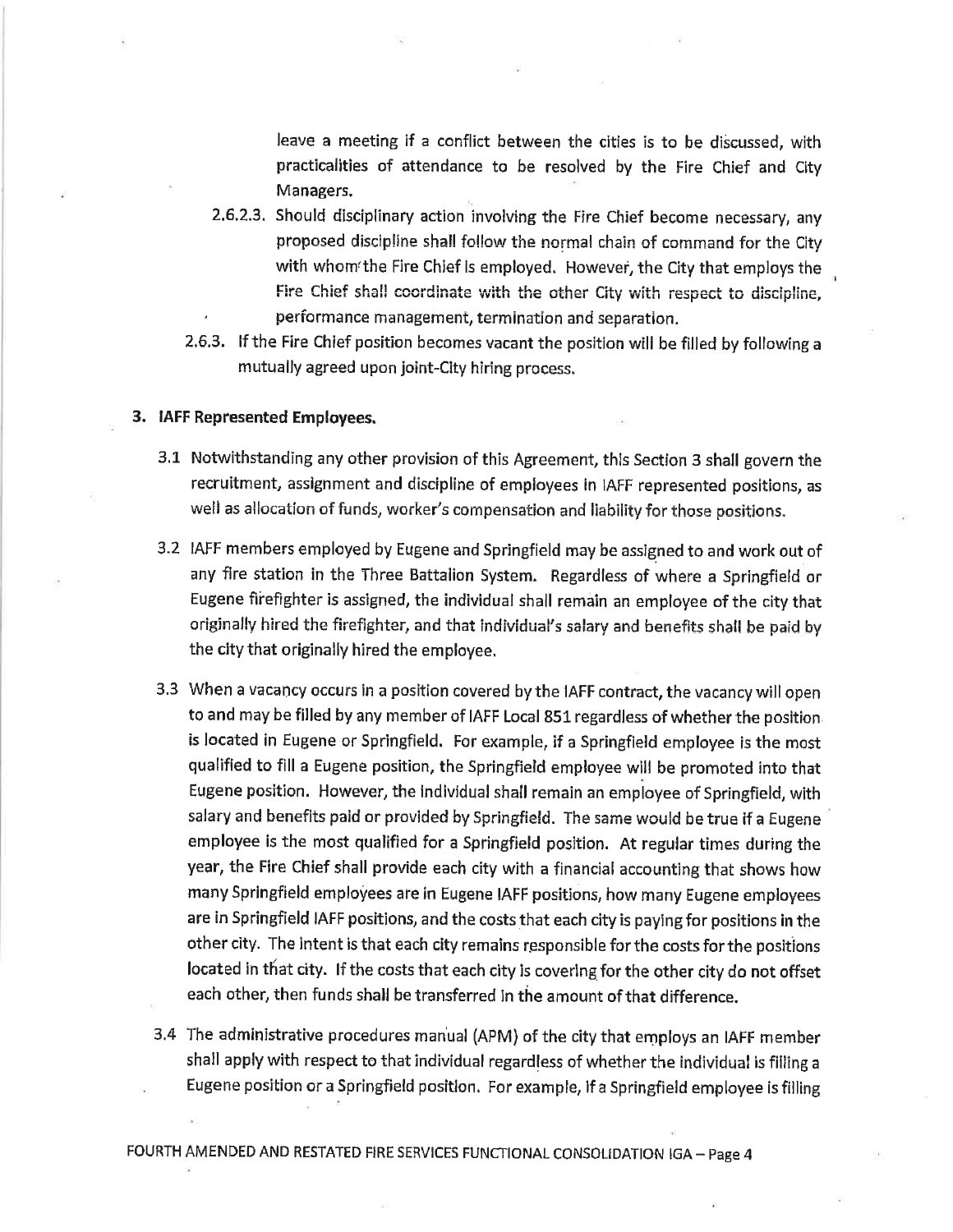leave a meeting if a conflict between the cities is to be discussed, with practicalities of attendance to be resolved by the Fire Chief and City Managers.

- 2.6.2.3. Should disciplinary action involving the Fire Chief become necessary, any proposed discipline shall follow the normal chain of command for the City with whom the Fire Chief is employed. However, the City that employs the Fire Chief shall coordinate with the other City with respect to discipline, performance management, termination and separation.
- 2.6.3. If the Fire Chief position becomes vacant the position will be filled by following a mutually agreed upon joint-City hiring process.

#### 3. IAFF Represented Employees.

- 3.1 Notwithstanding any other provision of this Agreement, this Section 3 shall govern the recruitment, assignment and discipline of employees in IAFF represented positions, as well as allocation of funds, worker's compensation and liability for those positions.
- 3.2 IAFF members employed by Eugene and Springfield may be assigned to and work out of any fire station in the Three Battalion System. Regardless of where a Springfield or Eugene firefighter is assigned, the individual shall remain an employee of the city that originally hired the firefighter, and that individual's salary and benefits shall be paid by the city that originally hired the employee.
- 3.3 When a vacancy occurs in a position covered by the IAFF contract, the vacancy will open to and may be filled by any member of IAFF Local 851 regardless of whether the position is located in Eugene or Springfield. For example, if a Springfield employee is the most qualified to fill a Eugene position, the Springfield employee will be promoted into that Eugene position. However, the individual shall remain an employee of Springfield, with salary and benefits paid or provided by Springfield. The same would be true if a Eugene employee is the most qualified for a Springfield position. At regular times during the year, the Fire Chief shall provide each city with a financial accounting that shows how many Springfield employees are in Eugene IAFF positions, how many Eugene employees are in Springfield IAFF positions, and the costs that each city is paying for positions in the other city. The intent is that each city remains responsible for the costs for the positions located in that city. If the costs that each city is covering for the other city do not offset each other, then funds shall be transferred in the amount of that difference.
- 3.4 The administrative procedures manual (APM) of the city that employs an IAFF member shall apply with respect to that individual regardless of whether the individual is filling a Eugene position or a Springfield position. For example, if a Springfield employee is filling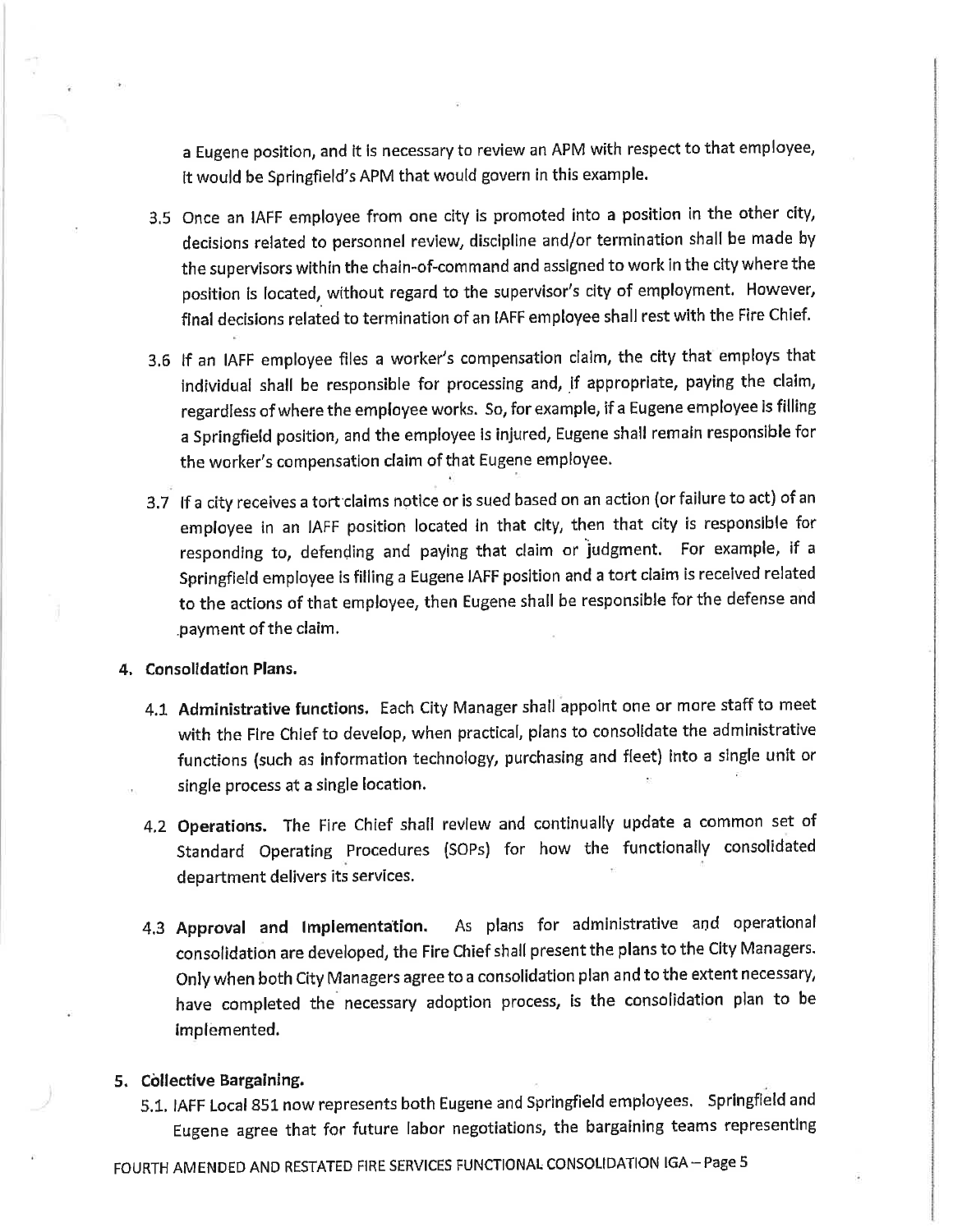a Eugene position, and it is necessary to review an APM with respect to that employee, It would be Springfield's APM that would govern in this example.

- 3.5 Once an IAFF employee from one city is promoted into a position in the other city, decisions related to personnel review, discipline and/or termination shall be made by the supervisors within the chain-of-command and assigned to work in the city where the position is located, without regard to the supervisor's city of employment. However, final decisions related to termination of an IAFF employee shall rest with the Fire Chief.
- 3.6 If an IAFF employee files a worker's compensation claim, the city that employs that individual shall be responsible for processing and, if appropriate, paying the claim, regardless of where the employee works. So, for example, if a Eugene employee is filling a Springfield position, and the employee is injured, Eugene shall remain responsible for the worker's compensation claim of that Eugene employee.
- 3.7 If a city receives a tort claims notice or is sued based on an action (or failure to act) of an employee in an IAFF position located in that city, then that city is responsible for responding to, defending and paying that claim or judgment. For example, if a Springfield employee is filling a Eugene IAFF position and a tort claim is received related to the actions of that employee, then Eugene shall be responsible for the defense and payment of the claim.

#### 4. Consolidation Plans.

- 4.1 Administrative functions. Each City Manager shall appoint one or more staff to meet with the Fire Chief to develop, when practical, plans to consolidate the administrative functions (such as information technology, purchasing and fleet) into a single unit or single process at a single location.
- 4.2 Operations. The Fire Chief shall review and continually update a common set of Standard Operating Procedures (SOPs) for how the functionally consolidated department delivers its services.
- 4.3 Approval and Implementation. As plans for administrative and operational consolidation are developed, the Fire Chief shall present the plans to the City Managers. Only when both City Managers agree to a consolidation plan and to the extent necessary, have completed the necessary adoption process, is the consolidation plan to be implemented.

#### 5. Collective Bargaining.

5.1. IAFF Local 851 now represents both Eugene and Springfield employees. Springfield and Eugene agree that for future labor negotiations, the bargaining teams representing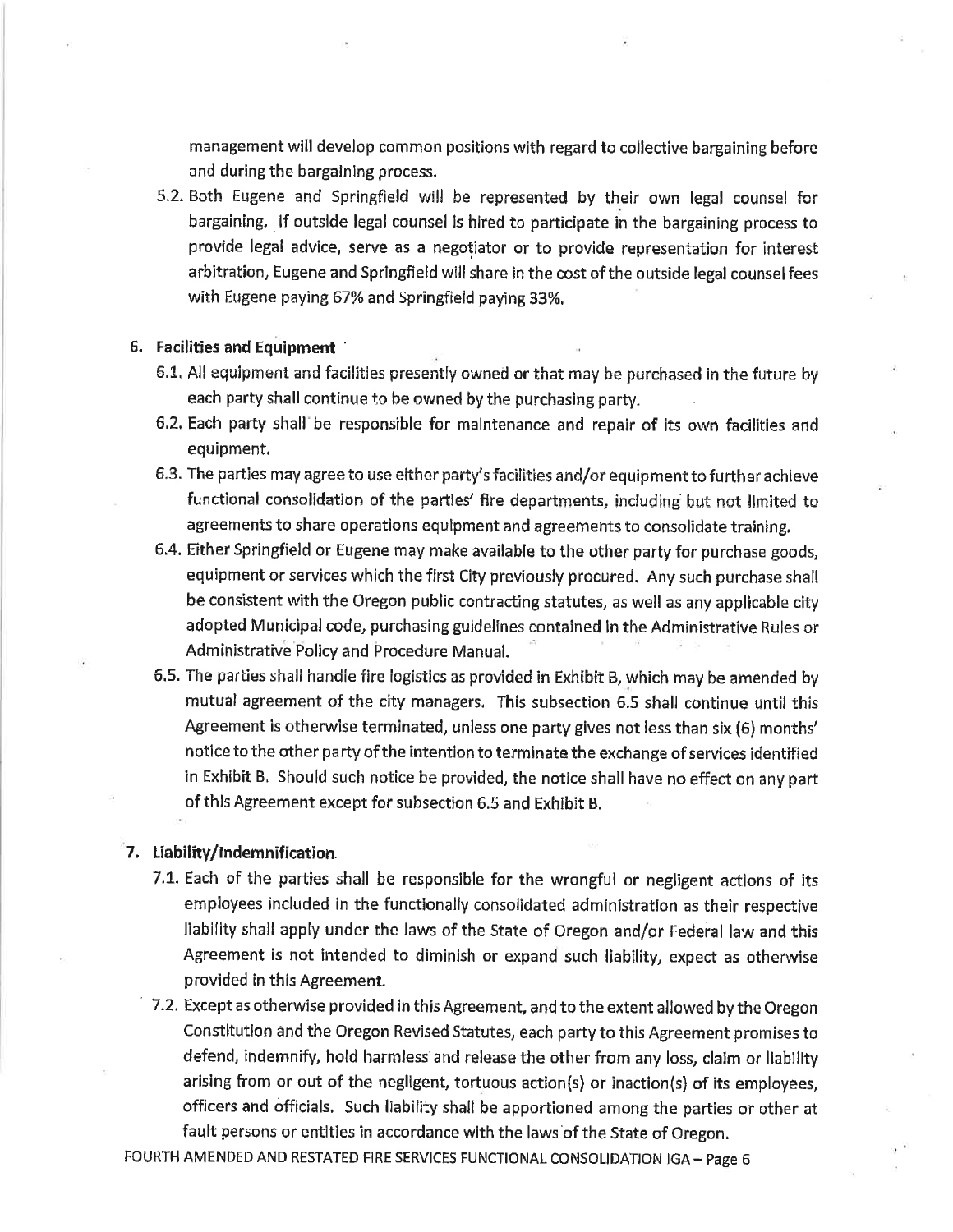management will develop common positions with regard to collective bargaining before and during the bargaining process.

5.2. Both Eugene and Springfield will be represented by their own legal counsel for bargaining. If outside legal counsel is hired to participate in the bargaining process to provide legal advice, serve as a negotiator or to provide representation for interest arbitration, Eugene and Springfield will share in the cost of the outside legal counsel fees with Eugene paying 67% and Springfield paying 33%.

#### 6. Facilities and Equipment

- 6.1. All equipment and facilities presently owned or that may be purchased in the future by each party shall continue to be owned by the purchasing party.
- 6.2. Each party shall be responsible for maintenance and repair of its own facilities and equipment.
- 6.3. The parties may agree to use either party's facilities and/or equipment to further achieve functional consolidation of the parties' fire departments, including but not limited to agreements to share operations equipment and agreements to consolidate training.
- 6.4. Either Springfield or Eugene may make available to the other party for purchase goods, equipment or services which the first City previously procured. Any such purchase shall be consistent with the Oregon public contracting statutes, as well as any applicable city adopted Municipal code, purchasing guidelines contained in the Administrative Rules or Administrative Policy and Procedure Manual.
- 6.5. The parties shall handle fire logistics as provided in Exhibit B, which may be amended by mutual agreement of the city managers. This subsection 6.5 shall continue until this Agreement is otherwise terminated, unless one party gives not less than six (6) months' notice to the other party of the intention to terminate the exchange of services identified in Exhibit B. Should such notice be provided, the notice shall have no effect on any part of this Agreement except for subsection 6.5 and Exhibit B.

#### 7. Liability/Indemnification.

- 7.1. Each of the parties shall be responsible for the wrongful or negligent actions of its employees included in the functionally consolidated administration as their respective liability shall apply under the laws of the State of Oregon and/or Federal law and this Agreement is not intended to diminish or expand such liability, expect as otherwise provided in this Agreement.
- 7.2. Except as otherwise provided in this Agreement, and to the extent allowed by the Oregon Constitution and the Oregon Revised Statutes, each party to this Agreement promises to defend, indemnify, hold harmless and release the other from any loss, claim or liability arising from or out of the negligent, tortuous action(s) or inaction(s) of its employees, officers and officials. Such liability shall be apportioned among the parties or other at fault persons or entities in accordance with the laws of the State of Oregon.

FOURTH AMENDED AND RESTATED FIRE SERVICES FUNCTIONAL CONSOLIDATION IGA - Page 6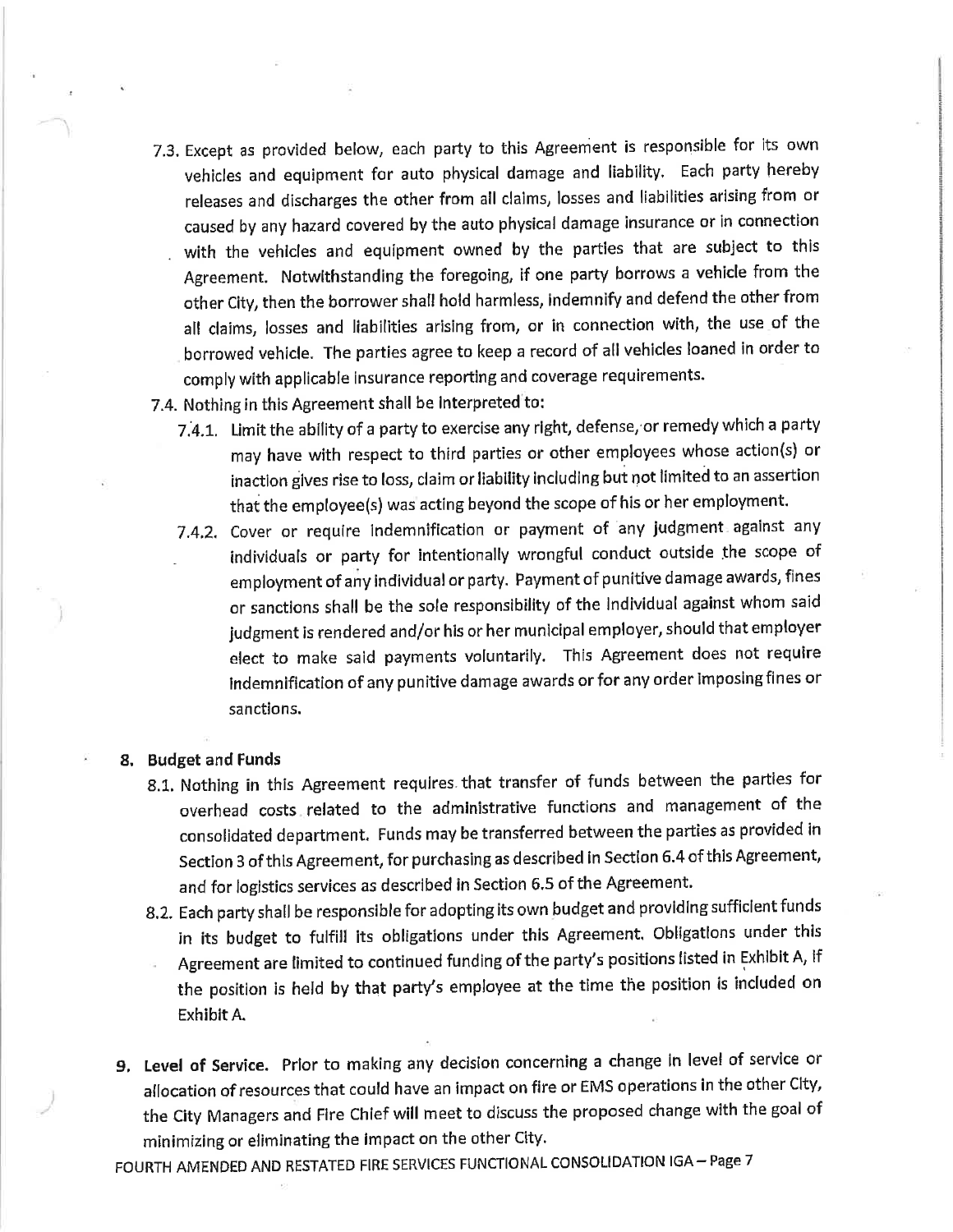- 7.3. Except as provided below, each party to this Agreement is responsible for its own vehicles and equipment for auto physical damage and liability. Each party hereby releases and discharges the other from all claims, losses and liabilities arising from or caused by any hazard covered by the auto physical damage insurance or in connection with the vehicles and equipment owned by the parties that are subject to this Agreement. Notwithstanding the foregoing, if one party borrows a vehicle from the other City, then the borrower shall hold harmless, indemnify and defend the other from all claims, losses and liabilities arising from, or in connection with, the use of the borrowed vehicle. The parties agree to keep a record of all vehicles loaned in order to comply with applicable insurance reporting and coverage requirements.
- 7.4. Nothing in this Agreement shall be interpreted to:
	- 7.4.1. Limit the ability of a party to exercise any right, defense, or remedy which a party may have with respect to third parties or other employees whose action(s) or inaction gives rise to loss, claim or liability including but not limited to an assertion that the employee(s) was acting beyond the scope of his or her employment.
	- 7.4.2. Cover or require indemnification or payment of any judgment against any individuals or party for intentionally wrongful conduct outside the scope of employment of any individual or party. Payment of punitive damage awards, fines or sanctions shall be the sole responsibility of the individual against whom said judgment is rendered and/or his or her municipal employer, should that employer elect to make said payments voluntarily. This Agreement does not require Indemnification of any punitive damage awards or for any order imposing fines or sanctions.

#### 8. Budget and Funds

- 8.1. Nothing in this Agreement requires that transfer of funds between the parties for overhead costs related to the administrative functions and management of the consolidated department. Funds may be transferred between the parties as provided in Section 3 of this Agreement, for purchasing as described in Section 6.4 of this Agreement, and for logistics services as described in Section 6.5 of the Agreement.
- 8.2. Each party shall be responsible for adopting its own budget and providing sufficient funds in its budget to fulfill its obligations under this Agreement. Obligations under this Agreement are limited to continued funding of the party's positions listed in Exhibit A, if the position is held by that party's employee at the time the position is included on Exhibit A.
- 9. Level of Service. Prior to making any decision concerning a change in level of service or allocation of resources that could have an impact on fire or EMS operations in the other City, the City Managers and Fire Chief will meet to discuss the proposed change with the goal of minimizing or eliminating the impact on the other City.

FOURTH AMENDED AND RESTATED FIRE SERVICES FUNCTIONAL CONSOLIDATION IGA - Page 7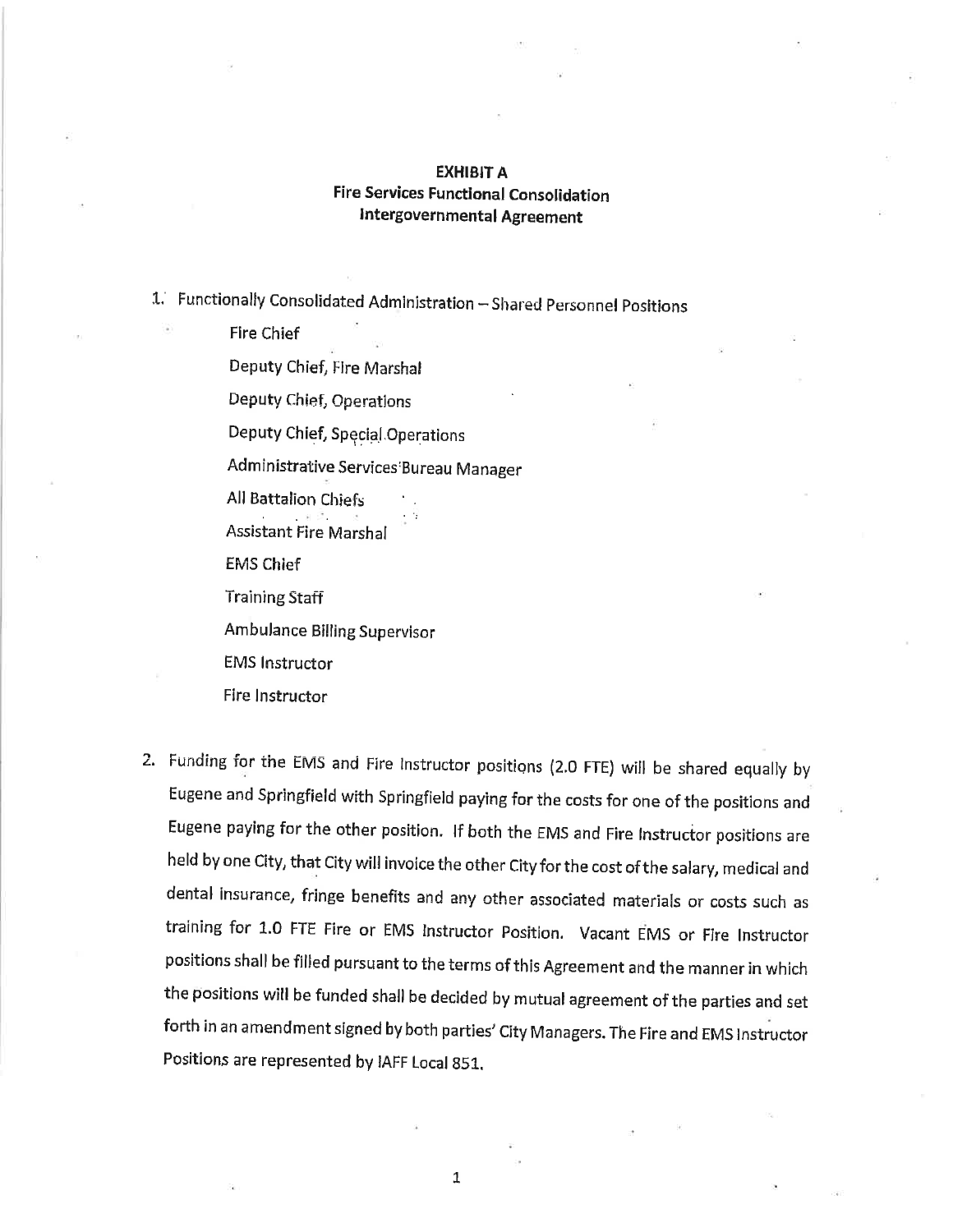### **EXHIBIT A Fire Services Functional Consolidation Intergovernmental Agreement**

1. Functionally Consolidated Administration - Shared Personnel Positions

**Fire Chief** Deputy Chief, Fire Marshal Deputy Chief, Operations Deputy Chief, Special Operations Administrative Services Bureau Manager All Battalion Chiefs **Assistant Fire Marshal EMS Chief Training Staff** Ambulance Billing Supervisor **EMS Instructor** 

Fire Instructor

2. Funding for the EMS and Fire Instructor positions (2.0 FTE) will be shared equally by Eugene and Springfield with Springfield paying for the costs for one of the positions and Eugene paying for the other position. If both the EMS and Fire Instructor positions are held by one City, that City will invoice the other City for the cost of the salary, medical and dental insurance, fringe benefits and any other associated materials or costs such as training for 1.0 FTE Fire or EMS Instructor Position. Vacant EMS or Fire Instructor positions shall be filled pursuant to the terms of this Agreement and the manner in which the positions will be funded shall be decided by mutual agreement of the parties and set forth in an amendment signed by both parties' City Managers. The Fire and EMS Instructor Positions are represented by IAFF Local 851.

 $\mathbf{1}$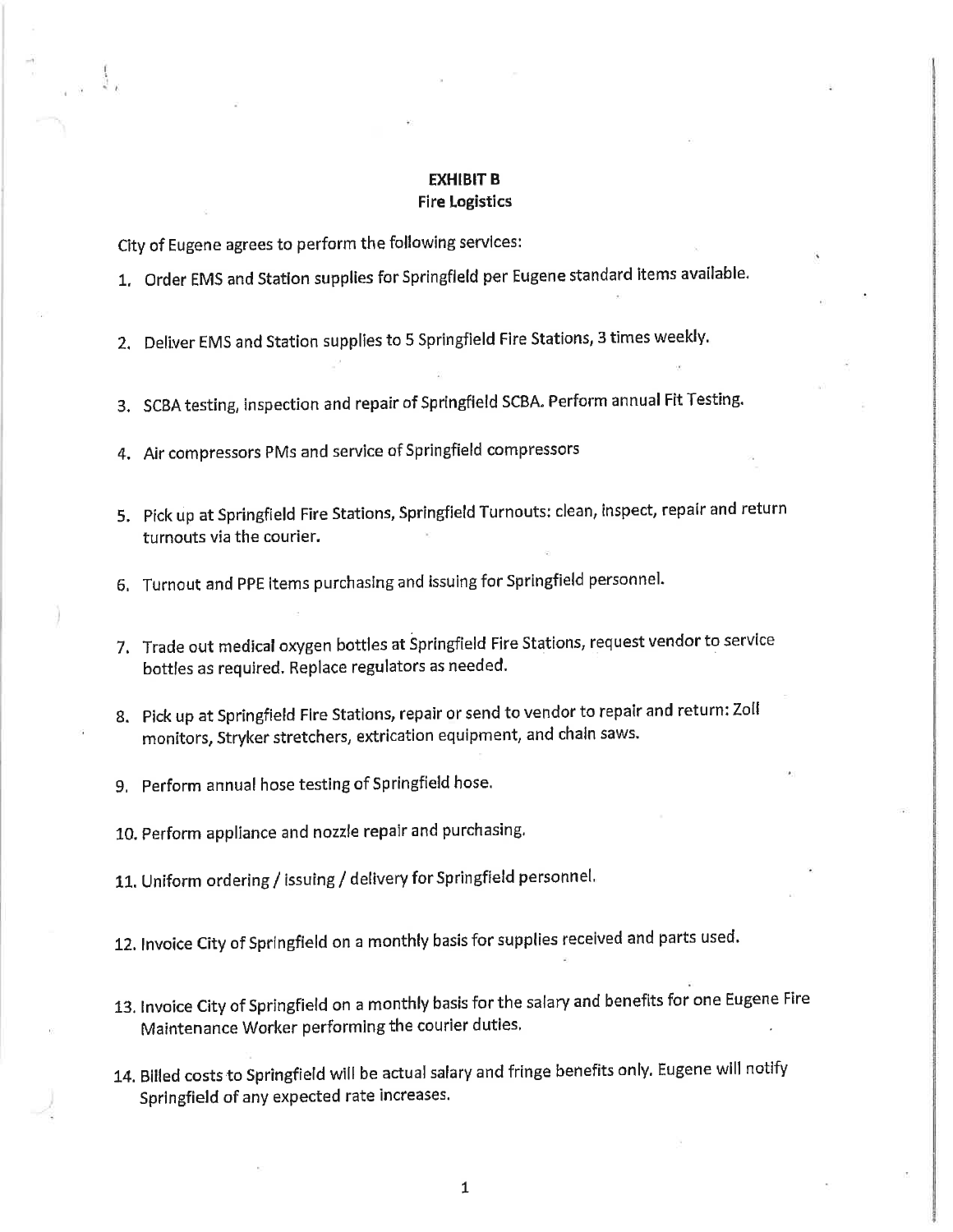#### **EXHIBIT B Fire Logistics**

City of Eugene agrees to perform the following services:

1. Order EMS and Station supplies for Springfield per Eugene standard items available.

2. Deliver EMS and Station supplies to 5 Springfield Fire Stations, 3 times weekly.

3. SCBA testing, inspection and repair of Springfield SCBA. Perform annual Fit Testing.

4. Air compressors PMs and service of Springfield compressors

- 5. Pick up at Springfield Fire Stations, Springfield Turnouts: clean, inspect, repair and return turnouts via the courier.
- 6. Turnout and PPE items purchasing and issuing for Springfield personnel.
- 7. Trade out medical oxygen bottles at Springfield Fire Stations, request vendor to service bottles as required. Replace regulators as needed.
- 8. Pick up at Springfield Fire Stations, repair or send to vendor to repair and return: Zoll monitors, Stryker stretchers, extrication equipment, and chain saws.
- 9. Perform annual hose testing of Springfield hose.
- 10. Perform appliance and nozzle repair and purchasing.

11. Uniform ordering / issuing / delivery for Springfield personnel.

12. Invoice City of Springfield on a monthly basis for supplies received and parts used.

- 13. Invoice City of Springfield on a monthly basis for the salary and benefits for one Eugene Fire Maintenance Worker performing the courier duties.
- 14. Billed costs to Springfield will be actual salary and fringe benefits only. Eugene will notify Springfield of any expected rate increases.

 $\mathbf{1}$